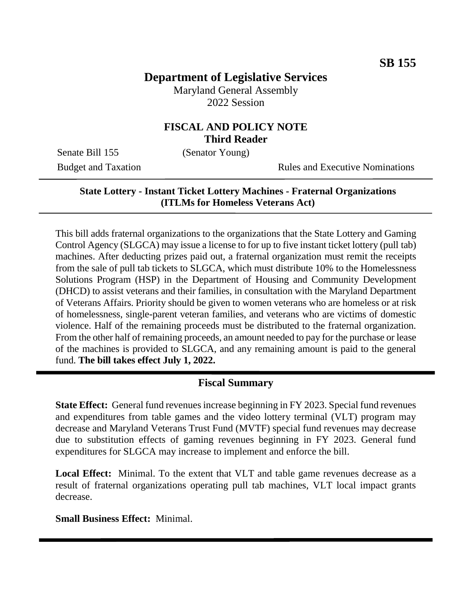# **Department of Legislative Services**

Maryland General Assembly 2022 Session

### **FISCAL AND POLICY NOTE Third Reader**

Senate Bill 155 (Senator Young)

Budget and Taxation Rules and Executive Nominations

#### **State Lottery - Instant Ticket Lottery Machines - Fraternal Organizations (ITLMs for Homeless Veterans Act)**

This bill adds fraternal organizations to the organizations that the State Lottery and Gaming Control Agency (SLGCA) may issue a license to for up to five instant ticket lottery (pull tab) machines. After deducting prizes paid out, a fraternal organization must remit the receipts from the sale of pull tab tickets to SLGCA, which must distribute 10% to the Homelessness Solutions Program (HSP) in the Department of Housing and Community Development (DHCD) to assist veterans and their families, in consultation with the Maryland Department of Veterans Affairs. Priority should be given to women veterans who are homeless or at risk of homelessness, single-parent veteran families, and veterans who are victims of domestic violence. Half of the remaining proceeds must be distributed to the fraternal organization. From the other half of remaining proceeds, an amount needed to pay for the purchase or lease of the machines is provided to SLGCA, and any remaining amount is paid to the general fund. **The bill takes effect July 1, 2022.**

#### **Fiscal Summary**

**State Effect:** General fund revenues increase beginning in FY 2023. Special fund revenues and expenditures from table games and the video lottery terminal (VLT) program may decrease and Maryland Veterans Trust Fund (MVTF) special fund revenues may decrease due to substitution effects of gaming revenues beginning in FY 2023. General fund expenditures for SLGCA may increase to implement and enforce the bill.

**Local Effect:** Minimal. To the extent that VLT and table game revenues decrease as a result of fraternal organizations operating pull tab machines, VLT local impact grants decrease.

**Small Business Effect:** Minimal.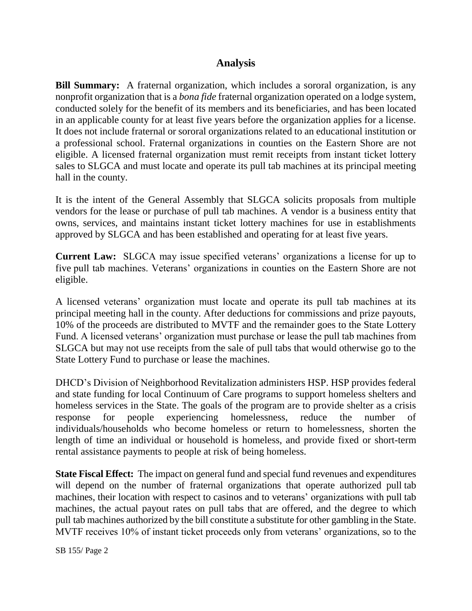## **Analysis**

**Bill Summary:** A fraternal organization, which includes a sororal organization, is any nonprofit organization that is a *bona fide* fraternal organization operated on a lodge system, conducted solely for the benefit of its members and its beneficiaries, and has been located in an applicable county for at least five years before the organization applies for a license. It does not include fraternal or sororal organizations related to an educational institution or a professional school. Fraternal organizations in counties on the Eastern Shore are not eligible. A licensed fraternal organization must remit receipts from instant ticket lottery sales to SLGCA and must locate and operate its pull tab machines at its principal meeting hall in the county.

It is the intent of the General Assembly that SLGCA solicits proposals from multiple vendors for the lease or purchase of pull tab machines. A vendor is a business entity that owns, services, and maintains instant ticket lottery machines for use in establishments approved by SLGCA and has been established and operating for at least five years.

**Current Law:** SLGCA may issue specified veterans' organizations a license for up to five pull tab machines. Veterans' organizations in counties on the Eastern Shore are not eligible.

A licensed veterans' organization must locate and operate its pull tab machines at its principal meeting hall in the county. After deductions for commissions and prize payouts, 10% of the proceeds are distributed to MVTF and the remainder goes to the State Lottery Fund. A licensed veterans' organization must purchase or lease the pull tab machines from SLGCA but may not use receipts from the sale of pull tabs that would otherwise go to the State Lottery Fund to purchase or lease the machines.

DHCD's Division of Neighborhood Revitalization administers HSP. HSP provides federal and state funding for local Continuum of Care programs to support homeless shelters and homeless services in the State. The goals of the program are to provide shelter as a crisis response for people experiencing homelessness, reduce the number of individuals/households who become homeless or return to homelessness, shorten the length of time an individual or household is homeless, and provide fixed or short-term rental assistance payments to people at risk of being homeless.

**State Fiscal Effect:** The impact on general fund and special fund revenues and expenditures will depend on the number of fraternal organizations that operate authorized pull tab machines, their location with respect to casinos and to veterans' organizations with pull tab machines, the actual payout rates on pull tabs that are offered, and the degree to which pull tab machines authorized by the bill constitute a substitute for other gambling in the State. MVTF receives 10% of instant ticket proceeds only from veterans' organizations, so to the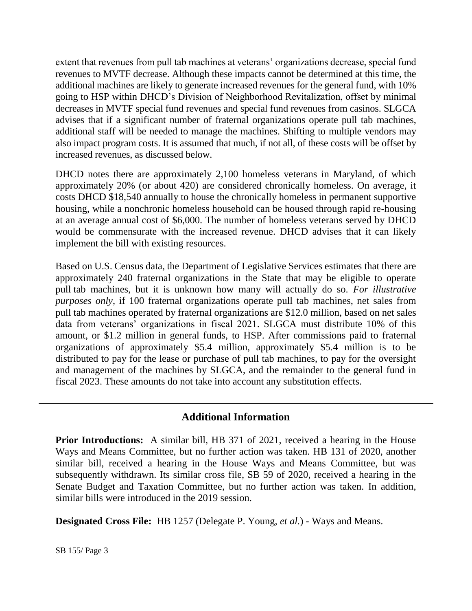extent that revenues from pull tab machines at veterans' organizations decrease, special fund revenues to MVTF decrease. Although these impacts cannot be determined at this time, the additional machines are likely to generate increased revenues for the general fund, with 10% going to HSP within DHCD's Division of Neighborhood Revitalization, offset by minimal decreases in MVTF special fund revenues and special fund revenues from casinos. SLGCA advises that if a significant number of fraternal organizations operate pull tab machines, additional staff will be needed to manage the machines. Shifting to multiple vendors may also impact program costs. It is assumed that much, if not all, of these costs will be offset by increased revenues, as discussed below.

DHCD notes there are approximately 2,100 homeless veterans in Maryland, of which approximately 20% (or about 420) are considered chronically homeless. On average, it costs DHCD \$18,540 annually to house the chronically homeless in permanent supportive housing, while a nonchronic homeless household can be housed through rapid re-housing at an average annual cost of \$6,000. The number of homeless veterans served by DHCD would be commensurate with the increased revenue. DHCD advises that it can likely implement the bill with existing resources.

Based on U.S. Census data, the Department of Legislative Services estimates that there are approximately 240 fraternal organizations in the State that may be eligible to operate pull tab machines, but it is unknown how many will actually do so. *For illustrative purposes only*, if 100 fraternal organizations operate pull tab machines, net sales from pull tab machines operated by fraternal organizations are \$12.0 million, based on net sales data from veterans' organizations in fiscal 2021. SLGCA must distribute 10% of this amount, or \$1.2 million in general funds, to HSP. After commissions paid to fraternal organizations of approximately \$5.4 million, approximately \$5.4 million is to be distributed to pay for the lease or purchase of pull tab machines, to pay for the oversight and management of the machines by SLGCA, and the remainder to the general fund in fiscal 2023. These amounts do not take into account any substitution effects.

## **Additional Information**

**Prior Introductions:** A similar bill, HB 371 of 2021, received a hearing in the House Ways and Means Committee, but no further action was taken. HB 131 of 2020, another similar bill, received a hearing in the House Ways and Means Committee, but was subsequently withdrawn. Its similar cross file, SB 59 of 2020, received a hearing in the Senate Budget and Taxation Committee, but no further action was taken. In addition, similar bills were introduced in the 2019 session.

**Designated Cross File:** HB 1257 (Delegate P. Young, *et al.*) - Ways and Means.